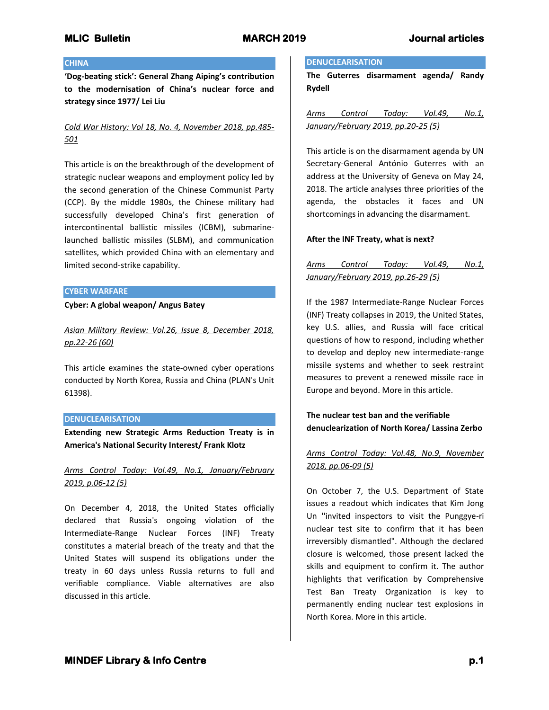## **CHINA**

**'Dog-beating stick': General Zhang Aiping's contribution to the modernisation of China's nuclear force and strategy since 1977/ Lei Liu**

# *Cold War History: Vol 18, No. 4, November 2018, pp.485- 501*

This article is on the breakthrough of the development of strategic nuclear weapons and employment policy led by the second generation of the Chinese Communist Party (CCP). By the middle 1980s, the Chinese military had successfully developed China's first generation of intercontinental ballistic missiles (ICBM), submarinelaunched ballistic missiles (SLBM), and communication satellites, which provided China with an elementary and limited second-strike capability.

#### **CYBER WARFARE**

### **Cyber: A global weapon/ Angus Batey**

*Asian Military Review: Vol.26, Issue 8, December 2018, pp.22-26 (60)*

This article examines the state-owned cyber operations conducted by North Korea, Russia and China (PLAN's Unit 61398).

## **DENUCLEARISATION**

**Extending new Strategic Arms Reduction Treaty is in America's National Security Interest/ Frank Klotz**

*Arms Control Today: Vol.49, No.1, January/February 2019, p.06-12 (5)*

On December 4, 2018, the United States officially declared that Russia's ongoing violation of the Intermediate-Range Nuclear Forces (INF) Treaty constitutes a material breach of the treaty and that the United States will suspend its obligations under the treaty in 60 days unless Russia returns to full and verifiable compliance. Viable alternatives are also discussed in this article.

## **DENUCLEARISATION**

**The Guterres disarmament agenda/ Randy Rydell**

*Arms Control Today: Vol.49, No.1, January/February 2019, pp.20-25 (5)*

This article is on the disarmament agenda by UN Secretary-General António Guterres with an address at the University of Geneva on May 24, 2018. The article analyses three priorities of the agenda, the obstacles it faces and UN shortcomings in advancing the disarmament.

## **After the INF Treaty, what is next?**

# *Arms Control Today: Vol.49, No.1, January/February 2019, pp.26-29 (5)*

If the 1987 Intermediate-Range Nuclear Forces (INF) Treaty collapses in 2019, the United States, key U.S. allies, and Russia will face critical questions of how to respond, including whether to develop and deploy new intermediate-range missile systems and whether to seek restraint measures to prevent a renewed missile race in Europe and beyond. More in this article.

# **The nuclear test ban and the verifiable denuclearization of North Korea/ Lassina Zerbo**

# *Arms Control Today: Vol.48, No.9, November 2018, pp.06-09 (5)*

On October 7, the U.S. Department of State issues a readout which indicates that Kim Jong Un ''invited inspectors to visit the Punggye-ri nuclear test site to confirm that it has been irreversibly dismantled". Although the declared closure is welcomed, those present lacked the skills and equipment to confirm it. The author highlights that verification by Comprehensive Test Ban Treaty Organization is key to permanently ending nuclear test explosions in North Korea. More in this article.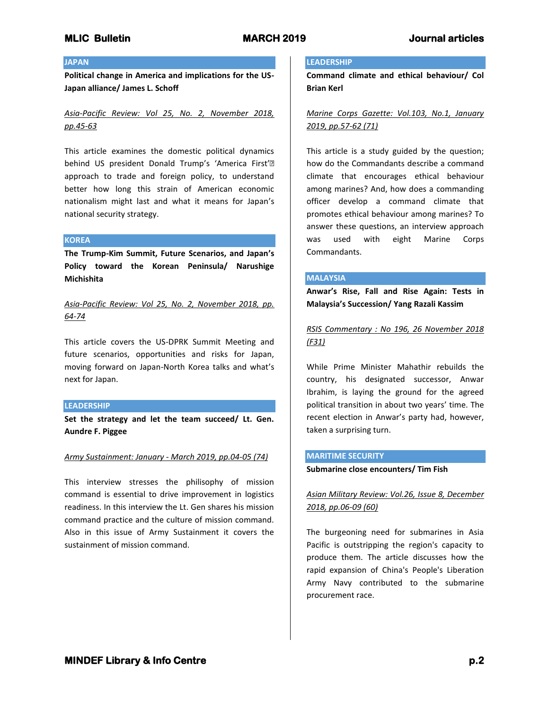### **JAPAN**

**Political change in America and implications for the US-Japan alliance/ James L. Schoff**

*Asia-Pacific Review: Vol 25, No. 2, November 2018, pp.45-63*

This article examines the domestic political dynamics behind US president Donald Trump's 'America First'• approach to trade and foreign policy, to understand better how long this strain of American economic nationalism might last and what it means for Japan's national security strategy.

#### **KOREA**

**The Trump-Kim Summit, Future Scenarios, and Japan's Policy toward the Korean Peninsula/ Narushige Michishita**

*Asia-Pacific Review: Vol 25, No. 2, November 2018, pp. 64-74*

This article covers the US-DPRK Summit Meeting and future scenarios, opportunities and risks for Japan, moving forward on Japan-North Korea talks and what's next for Japan.

### **LEADERSHIP**

**Set the strategy and let the team succeed/ Lt. Gen. Aundre F. Piggee**

#### *Army Sustainment: January - March 2019, pp.04-05 (74)*

This interview stresses the philisophy of mission command is essential to drive improvement in logistics readiness. In this interview the Lt. Gen shares his mission command practice and the culture of mission command. Also in this issue of Army Sustainment it covers the sustainment of mission command.

## **LEADERSHIP**

**Command climate and ethical behaviour/ Col Brian Kerl**

*Marine Corps Gazette: Vol.103, No.1, January 2019, pp.57-62 (71)*

This article is a study guided by the question; how do the Commandants describe a command climate that encourages ethical behaviour among marines? And, how does a commanding officer develop a command climate that promotes ethical behaviour among marines? To answer these questions, an interview approach was used with eight Marine Corps Commandants.

### **MALAYSIA**

**Anwar's Rise, Fall and Rise Again: Tests in Malaysia's Succession/ Yang Razali Kassim**

*RSIS Commentary : No 196, 26 November 2018 (F31)*

While Prime Minister Mahathir rebuilds the country, his designated successor, Anwar Ibrahim, is laying the ground for the agreed political transition in about two years' time. The recent election in Anwar's party had, however, taken a surprising turn.

## **MARITIME SECURITY**

**Submarine close encounters/ Tim Fish**

# *Asian Military Review: Vol.26, Issue 8, December 2018, pp.06-09 (60)*

The burgeoning need for submarines in Asia Pacific is outstripping the region's capacity to produce them. The article discusses how the rapid expansion of China's People's Liberation Army Navy contributed to the submarine procurement race.